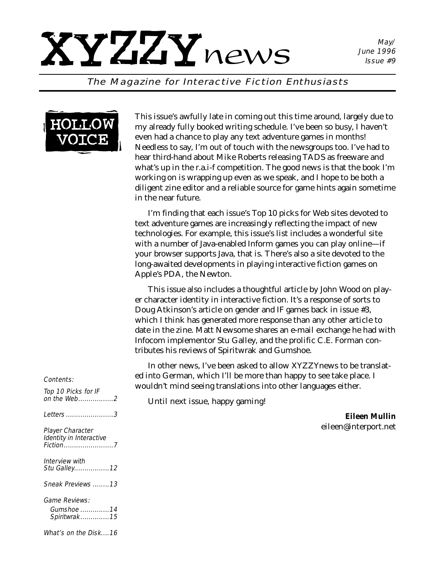#### The Magazine for Interactive Fiction Enthusiasts



This issue's awfully late in coming out this time around, largely due to my already fully booked writing schedule. I've been so busy, I haven't even had a chance to play any text adventure games in months! Needless to say, I'm out of touch with the newsgroups too. I've had to hear third-hand about Mike Roberts releasing TADS as freeware and what's up in the r.a.i-f competition. The good news is that the book I'm working on is wrapping up even as we speak, and I hope to be both a diligent zine editor and a reliable source for game hints again sometime in the near future.

I'm finding that each issue's Top 10 picks for Web sites devoted to text adventure games are increasingly reflecting the impact of new technologies. For example, this issue's list includes a wonderful site with a number of Java-enabled Inform games you can play online—if your browser supports Java, that is. There's also a site devoted to the long-awaited developments in playing interactive fiction games on Apple's PDA, the Newton.

This issue also includes a thoughtful article by John Wood on player character identity in interactive fiction. It's a response of sorts to Doug Atkinson's article on gender and IF games back in issue #3, which I think has generated more response than any other article to date in the zine. Matt Newsome shares an e-mail exchange he had with Infocom implementor Stu Galley, and the prolific C.E. Forman contributes his reviews of Spiritwrak and Gumshoe.

In other news, I've been asked to allow *XYZZYnews* to be translated into German, which I'll be more than happy to see take place. I wouldn't mind seeing translations into other languages either.

Until next issue, happy gaming!

*Eileen Mullin eileen@interport.net*

#### Contents:

| Top 10 Picks for IF<br>on the Web2          |
|---------------------------------------------|
| <i>Letters 3</i>                            |
| Player Character<br>Identity in Interactive |
| Interview with<br>Stu Galley 12             |
| Sneak Previews 13                           |
| Game Reviews:<br>Gumshoe 14<br>Spiritwrak15 |
| What's on the Disk16                        |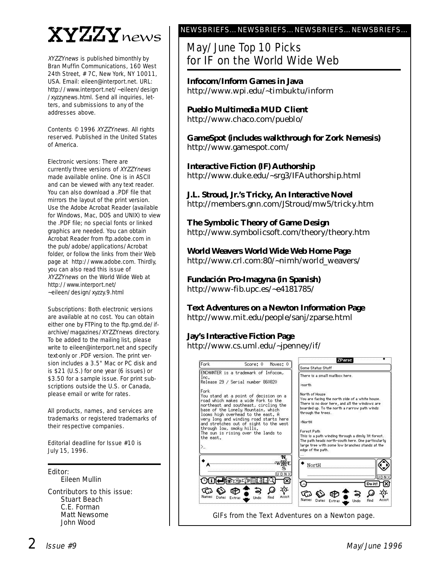## XYZZYnews

XYZZYnews is published bimonthly by Bran Muffin Communications, 160 West 24th Street, # 7C, New York, NY 10011, USA. Email: eileen@interport.net. URL: http://www.interport.net/~eileen/design /xyzzynews.html. Send all inquiries, letters, and submissions to any of the addresses above.

Contents © 1996 XYZZYnews. All rights reserved. Published in the United States of America.

Electronic versions: There are currently three versions of XYZZYnews made available online. One is in ASCII and can be viewed with any text reader. You can also download a .PDF file that mirrors the layout of the print version. Use the Adobe Acrobat Reader (available for Windows, Mac, DOS and UNIX) to view the .PDF file; no special fonts or linked graphics are needed. You can obtain Acrobat Reader from ftp.adobe.com in the pub/adobe/applications/Acrobat folder, or follow the links from their Web page at http://www.adobe.com. Thirdly, you can also read this issue of XYZZYnews on the World Wide Web at http://www.interport.net/ ~eileen/design/xyzzy.9.html

Subscriptions: Both electronic versions are available at no cost. You can obtain either one by FTPing to the ftp.gmd.de/ifarchive/magazines/XYZZYnews directory. To be added to the mailing list, please write to eileen@interport.net and specify text-only or .PDF version. The print version includes a 3.5" Mac or PC disk and is \$21 (U.S.) for one year (6 issues) or \$3.50 for a sample issue. For print subscriptions outside the U.S. or Canada, please email or write for rates.

All products, names, and ser vices are trademarks or registered trademarks of their respective companies.

Editorial deadline for Issue #10 is July 15, 1996.

Editor: Eileen Mullin

Contributors to this issue: Stuart Beach C.E. Forman Matt Newsome John Wood

#### NEWSBRIEFS…NEWSBRIEFS…NEWSBRIEFS…NEWSBRIEFS…

### May/June Top 10 Picks for IF on the World Wide Web

**Infocom/Inform Games in Java** http://www.wpi.edu/~timbuktu/inform

**Pueblo Multimedia MUD Client** http://www.chaco.com/pueblo/

**GameSpot (includes walkthrough for Zork Nemesis)** http://www.gamespot.com/

**Interactive Fiction (IF) Authorship** http://www.duke.edu/~srg3/IFAuthorship.html

**J.L. Stroud, Jr.'s Tricky, An Interactive Novel** http://members.gnn.com/JStroud/mw5/tricky.htm

**The Symbolic Theory of Game Design** http://www.symbolicsoft.com/theory/theory.htm

**World Weavers World Wide Web Home Page** http://www.crl.com:80/~nimh/world\_weavers/

**Fundación Pro-Imagyna (in Spanish)** http://www-fib.upc.es/~e4181785/

**Text Adventures on a Newton Information Page** http://www.mit.edu/people/sanj/zparse.html

**Jay's Interactive Fiction Page** http://www.cs.uml.edu/~jpenney/if/

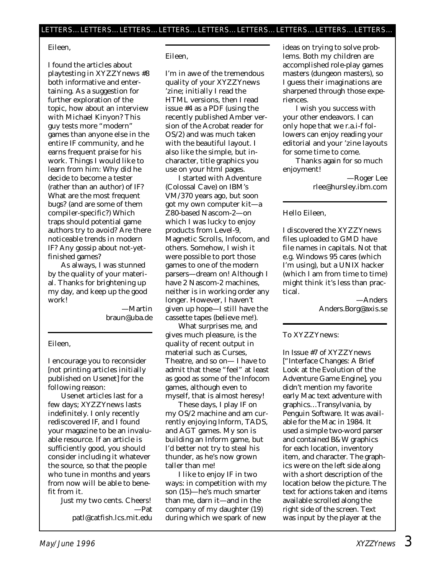#### Eileen,

I found the articles about playtesting in XYZZYnews #8 both informative and entertaining. As a suggestion for further exploration of the topic, how about an interview with Michael Kinyon? This guy tests more "modern" games than anyone else in the entire IF community, and he earns frequent praise for his work. Things I would like to learn from him: Why did he decide to become a tester (rather than an author) of IF? What are the most frequent bugs? (and are some of them compiler-specific?) Which traps should potential game authors try to avoid? Are there noticeable trends in modern IF? Any gossip about not-yetfinished games?

As always, I was stunned by the quality of your material. Thanks for brightening up my day, and keep up the good work!

> —Martin braun@uba.de

#### Eileen,

I encourage you to reconsider [not printing articles initially published on Usenet] for the following reason:

Usenet articles last for a few days; *XYZZYnews* lasts indefinitely. I only recently rediscovered IF, and I found your magazine to be an invaluable resource. If an article is sufficiently good, you should consider including it whatever the source, so that the people who tune in months and years from now will be able to benefit from it.

> Just my two cents. Cheers! —Pat patl@catfish.lcs.mit.edu

#### Eileen,

I'm in awe of the tremendous quality of your *XYZZYnews* 'zine; initially I read the HTML versions, then I read issue #4 as a PDF (using the recently published Amber version of the Acrobat reader for OS/2) and was much taken with the beautiful layout. I also like the simple, but incharacter, title graphics you use on your html pages.

I started with Adventure (Colossal Cave) on IBM's VM/370 years ago, but soon got my own computer kit—a Z80-based Nascom-2—on which I was lucky to enjoy products from Level-9, Magnetic Scrolls, Infocom, and others. Somehow, I wish it were possible to port those games to one of the modern parsers—dream on! Although I have 2 Nascom-2 machines, neither is in working order any longer. However, I haven't given up hope—I still have the cassette tapes (believe me!).

What surprises me, and gives much pleasure, is the quality of recent output in material such as Curses, Theatre, and so on— I have to admit that these "feel" at least as good as some of the Infocom games, although even to myself, that is almost heresy!

These days, I play IF on my OS/2 machine and am currently enjoying Inform, TADS, and AGT games. My son is building an Inform game, but I'd better not try to steal his thunder, as he's now grown taller than me!

I like to enjoy IF in two ways: in competition with my son (15)—he's much smarter than me, darn it—and in the company of my daughter (19) during which we spark of new

ideas on trying to solve problems. Both my children are accomplished role-play games masters (dungeon masters), so I guess their imaginations are sharpened through those experiences.

I wish you success with your other endeavors. I can only hope that we r.a.i-f followers can enjoy reading your editorial and your 'zine layouts for some time to come.

Thanks again for so much enjoyment!

> —Roger Lee rlee@hursley.ibm.com

#### Hello Eileen,

I discovered the XYZZYnews files uploaded to GMD have file names in capitals. Not that e.g. Windows 95 cares (which I'm using), but a UNIX hacker (which I am from time to time) might think it's less than practical.

> —Anders Anders.Borg@axis.se

#### To XYZZYnews:

In Issue #7 of XYZZYnews ["Interface Changes: A Brief Look at the Evolution of the Adventure Game Engine], you didn't mention my favorite early Mac text adventure with graphics…Transylvania, by Penguin Software. It was available for the Mac in 1984. It used a simple two-word parser and contained B&W graphics for each location, inventory item, and character. The graphics were on the left side along with a short description of the location below the picture. The text for actions taken and items available scrolled along the right side of the screen. Text was input by the player at the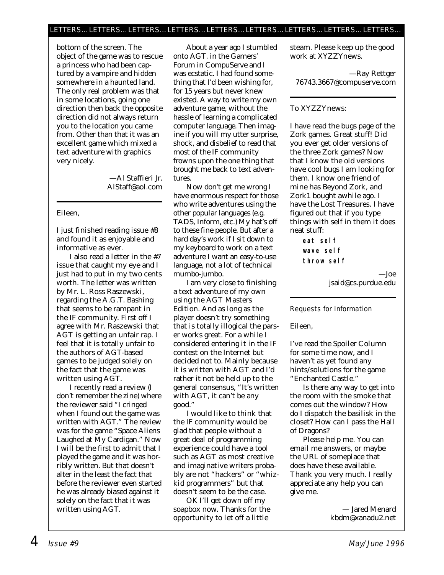#### LETTERS…LETTERS…LETTERS…LETTERS…LETTERS…LETTERS…LETTERS…LETTERS…LETTERS…

bottom of the screen. The object of the game was to rescue a princess who had been captured by a vampire and hidden somewhere in a haunted land. The only real problem was that in some locations, going one direction then back the opposite direction did not always return you to the location you came from. Other than that it was an excellent game which mixed a text adventure with graphics very nicely.

> —Al Staffieri Jr. AlStaff@aol.com

#### Eileen,

I just finished reading issue #8 and found it as enjoyable and informative as ever.

I also read a letter in the #7 issue that caught my eye and I just had to put in my two cents worth. The letter was written by Mr. L. Ross Raszewski, regarding the A.G.T. Bashing that seems to be rampant in the IF community. First off I agree with Mr. Raszewski that AGT is getting an unfair rap. I feel that it is totally unfair to the authors of AGT-based games to be judged solely on the fact that the game was written using AGT.

I recently read a review (I don't remember the zine) where the reviewer said "I cringed when I found out the game was written with AGT." The review was for the game "Space Aliens Laughed at My Cardigan." Now I will be the first to admit that I played the game and it was horribly written. But that doesn't alter in the least the fact that before the reviewer even started he was already biased against it solely on the fact that it was written using AGT.

About a year ago I stumbled onto AGT. in the Gamers' Forum in CompuServe and I was ecstatic. I had found something that I'd been wishing for, for 15 years but never knew existed. A way to write my own adventure game, without the hassle of learning a complicated computer language. Then imagine if you will my utter surprise, shock, and disbelief to read that most of the IF community frowns upon the one thing that brought me back to text adventures.

Now don't get me wrong I have enormous respect for those who write adventures using the other popular languages (e.g. TADS, Inform, etc.) My hat's off to these fine people. But after a hard day's work if I sit down to my keyboard to work on a text adventure I want an easy-to-use language, not a lot of technical mumbo-jumbo.

I am very close to finishing a text adventure of my own using the AGT Masters Edition. And as long as the player doesn't try something that is totally illogical the parser works great. For a while I considered entering it in the IF contest on the Internet but decided not to. Mainly because it is written with AGT and I'd rather it not be held up to the general consensus, "It's written with AGT, it can't be any good."

I would like to think that the IF community would be glad that people without a great deal of programming experience could have a tool such as AGT as most creative and imaginative writers probably are not "hackers" or "whizkid programmers" but that doesn't seem to be the case.

OK I'll get down off my soapbox now. Thanks for the opportunity to let off a little

steam. Please keep up the good work at *XYZZYnews.*

—Ray Rettger 76743.3667@compuserve.com

#### To XYZZYnews:

I have read the bugs page of the Zork games. Great stuff! Did you ever get older versions of the three Zork games? Now that I know the old versions have cool bugs I am looking for them. I know one friend of mine has Beyond Zork, and Zork1 bought awhile ago. I have the Lost Treasures. I have figured out that if you type things with self in them it does neat stuff:

```
eat self
wave self
throw self
```
—Joe jsaid@cs.purdue.edu

#### Requests for Information

Eileen,

I've read the Spoiler Column for some time now, and I haven't as yet found any hints/solutions for the game "Enchanted Castle."

Is there any way to get into the room with the smoke that comes out the window? How do I dispatch the basilisk in the closet? How can I pass the Hall of Dragons?

Please help me. You can email me answers, or maybe the URL of someplace that does have these available. Thank you very much. I really appreciate any help you can give me.

> — Jared Menard kbdm@xanadu2.net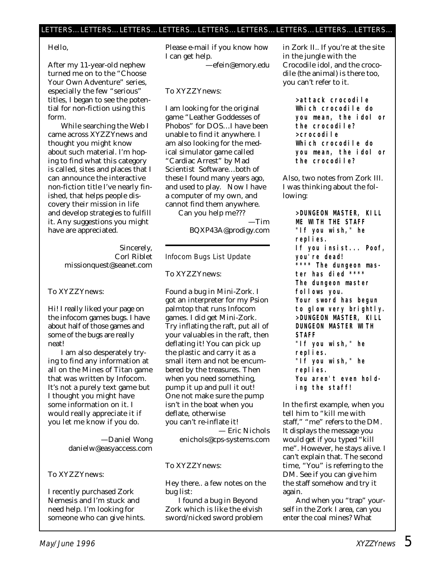#### Hello,

After my 11-year-old nephew turned me on to the "Choose Your Own Adventure" series, especially the few "serious" titles, I began to see the potential for non-fiction using this form.

While searching the Web I came across *XYZZYnews* and thought you might know about such material. I'm hoping to find what this category is called, sites and places that I can announce the interactive non-fiction title I've nearly finished, that helps people discovery their mission in life and develop strategies to fulfill it. Any suggestions you might have are appreciated.

> Sincerely, Corl Riblet missionquest@seanet.com

#### To XYZZYnews:

Hi! I really liked your page on the infocom games bugs. I have about half of those games and some of the bugs are really neat!

I am also desperately trying to find any information at all on the Mines of Titan game that was written by Infocom. It's not a purely text game but I thought you might have some information on it. I would really appreciate it if you let me know if you do.

> —Daniel Wong danielw@easyaccess.com

#### To XYZZYnews:

I recently purchased Zork Nemesis and I'm stuck and need help. I'm looking for someone who can give hints.

Please e-mail if you know how I can get help.

—efein@emory.edu

#### To XYZZYnews:

I am looking for the original game "Leather Goddesses of Phobos" for DOS…I have been unable to find it anywhere. I am also looking for the medical simulator game called "Cardiac Arrest" by Mad Scientist Software…both of these I found many years ago, and used to play. Now I have a computer of my own, and cannot find them anywhere.

Can you help me??? —Tim BQXP43A@prodigy.com

#### Infocom Bugs List Update

To XYZZYnews:

Found a bug in Mini-Zork. I got an interpreter for my Psion palmtop that runs Infocom games. I did get Mini-Zork. Try inflating the raft, put all of your valuables in the raft, then deflating it! You can pick up the plastic and carry it as a small item and not be encumbered by the treasures. Then when you need something, pump it up and pull it out! One not make sure the pump isn't in the boat when you deflate, otherwise you can't re-inflate it! — Eric Nichols enichols@cps-systems.com

#### To XYZZYnews:

Hey there.. a few notes on the bug list:

I found a bug in Beyond Zork which is like the elvish sword/nicked sword problem in Zork II.. If you're at the site in the jungle with the Crocodile idol, and the crocodile (the animal) is there too, you can't refer to it.

> **>attack crocodile Which crocodile do you mean, the idol or the crocodile? >crocodile Which crocodile do you mean, the idol or the crocodile?**

Also, two notes from Zork III. I was thinking about the following:

> **>DUNGEON MASTER, KILL ME WITH THE STAFF "If you wish," he replies. If you insist... Poof, you're dead! \*\*\*\* The dungeon master has died \*\*\*\* The dungeon master follows you. Your sword has begun to glow very brightly. >DUNGEON MASTER, KILL DUNGEON MASTER WITH STAFF "If you wish," he replies. "If you wish," he replies. You aren't even holding the staff!**

In the first example, when you tell him to "kill me with staff," "me" refers to the DM. It displays the message you would get if you typed "kill me". However, he stays alive. I can't explain that. The second time, "You" is referring to the DM. See if you can give him the staff somehow and try it again.

And when you "trap" yourself in the Zork I area, can you enter the coal mines? What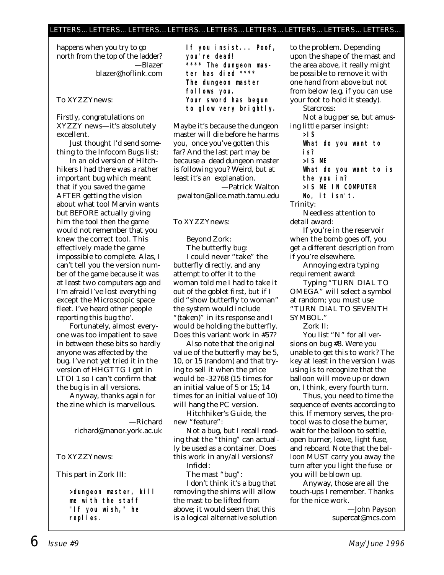#### LETTERS…LETTERS…LETTERS…LETTERS…LETTERS…LETTERS…LETTERS…LETTERS…LETTERS…

happens when you try to go north from the top of the ladder? —Blazer blazer@hoflink.com

#### To XYZZYnews:

Firstly, congratulations on XYZZY news—it's absolutely excellent.

Just thought I'd send something to the Infocom Bugs list:

In an old version of Hitchhikers I had there was a rather important bug which meant that if you saved the game AFTER getting the vision about what tool Marvin wants but BEFORE actually giving him the tool then the game would not remember that you knew the correct tool. This effectively made the game impossible to complete. Alas, I can't tell you the version number of the game because it was at least two computers ago and I'm afraid I've lost everything except the Microscopic space fleet. I've heard other people reporting this bug tho'.

Fortunately, almost everyone was too impatient to save in between these bits so hardly anyone was affected by the bug. I've not yet tried it in the version of HHGTTG I got in LTOI 1 so I can't confirm that the bug is in all versions.

Anyway, thanks again for the zine which is marvellous.

> —Richard richard@manor.york.ac.uk

#### To XYZZYnews:

This part in Zork III:

**>dungeon master, kill me with the staff "If you wish," he replies.**

**If you insist... Poof, you're dead! \*\*\*\* The dungeon master has died \*\*\*\* The dungeon master follows you. Your sword has begun to glow very brightly.**

Maybe it's because the dungeon master will die before he harms you, once you've gotten this far? And the last part may be because a dead dungeon master is following you? Weird, but at least it's an explanation. —Patrick Walton

pwalton@alice.math.tamu.edu

To XYZZYnews:

#### Beyond Zork:

The butterfly bug: I could never "take" the butterfly directly, and any attempt to offer it to the woman told me I had to take it out of the goblet first, but if I did "show butterfly to woman" the system would include "(taken)" in its response and I would be holding the butterfly. Does this variant work in #57?

Also note that the original value of the butterfly may be 5, 10, or 15 (random) and that trying to sell it when the price would be -32768 (15 times for an initial value of 5 or 15; 14 times for an initial value of 10) will hang the PC version.

Hitchhiker's Guide, the new "feature":

Not a bug, but I recall reading that the "thing" can actually be used as a container. Does this work in any/all versions? Infidel:

The mast "bug":

I don't think it's a bug that removing the shims will allow the mast to be lifted from above; it would seem that this is a logical alternative solution to the problem. Depending upon the shape of the mast and the area above, it really might be possible to remove it with one hand from above but not from below (e.g. if you can use your foot to hold it steady).

Starcross:

Not a bug per se, but amusing little parser insight:

**>IS**

**What do you want to is? >IS ME What do you want to is the you in? >IS ME IN COMPUTER**

**No, it isn't.**

Trinity:

Needless attention to detail award:

If you're in the reservoir when the bomb goes off, you get a different description from if you're elsewhere.

Annoying extra typing requirement award:

Typing "TURN DIAL TO OMEGA" will select a symbol at random; you must use "TURN DIAL TO SEVENTH SYMBOL."

Zork II:

You list "N" for all versions on bug #8. Were you unable to get this to work? The key at least in the version I was using is to recognize that the balloon will move up or down on, I think, every fourth turn.

Thus, you need to time the sequence of events according to this. If memory serves, the protocol was to close the burner, wait for the balloon to settle, open burner, leave, light fuse, and reboard. Note that the balloon MUST carry you away the turn after you light the fuse or you will be blown up.

Anyway, those are all the touch-ups I remember. Thanks for the nice work.

> —John Payson supercat@mcs.com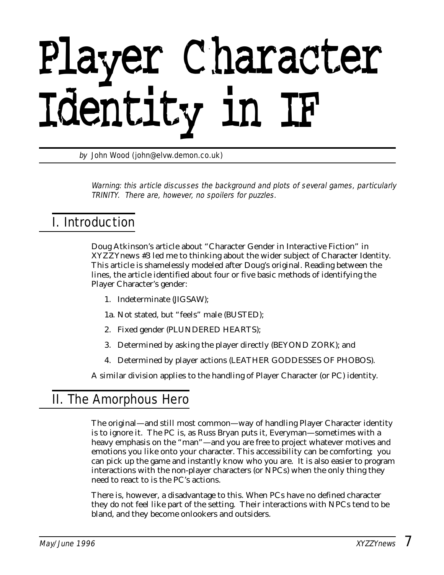# Player Character Identity in IF

by John Wood (john@elvw.demon.co.uk)

Warning: this article discusses the background and plots of several games, particularly TRINITY. There are, however, no spoilers for puzzles.

## I. Introduction

Doug Atkinson's article about "Character Gender in Interactive Fiction" in XYZZYnews #3 led me to thinking about the wider subject of Character Identity. This article is shamelessly modeled after Doug's original. Reading between the lines, the article identified about four or five basic methods of identifying the Player Character's gender:

- 1. Indeterminate (JIGSAW);
- 1a. Not stated, but "feels" male (BUSTED);
- 2. Fixed gender (PLUNDERED HEARTS);
- 3. Determined by asking the player directly (BEYOND ZORK); and
- 4. Determined by player actions (LEATHER GODDESSES OF PHOBOS).

A similar division applies to the handling of Player Character (or PC) identity.

## II. The Amorphous Hero

The original—and still most common—way of handling Player Character identity is to ignore it. The PC is, as Russ Bryan puts it, Everyman—sometimes with a heavy emphasis on the "man"—and you are free to project whatever motives and emotions you like onto your character. This accessibility can be comforting; you can pick up the game and instantly know who you are. It is also easier to program interactions with the non-player characters (or NPCs) when the only thing they need to react to is the PC's actions.

There is, however, a disadvantage to this. When PCs have no defined character they do not feel like part of the setting. Their interactions with NPCs tend to be bland, and they become onlookers and outsiders.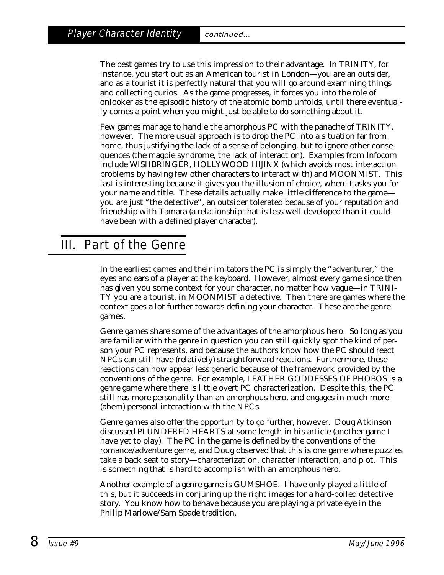The best games try to use this impression to their advantage. In TRINITY, for instance, you start out as an American tourist in London—you *are* an outsider, and as a tourist it is perfectly natural that you will go around examining things and collecting curios. As the game progresses, it forces you into the role of onlooker as the episodic history of the atomic bomb unfolds, until there eventually comes a point when you might just be able to do something about it.

Few games manage to handle the amorphous PC with the panache of TRINITY, however. The more usual approach is to drop the PC into a situation far from home, thus justifying the lack of a sense of belonging, but to ignore other consequences (the magpie syndrome, the lack of interaction). Examples from Infocom include WISHBRINGER, HOLLYWOOD HIJINX (which avoids most interaction problems by having few other characters to interact with) and MOONMIST. This last is interesting because it gives you the illusion of choice, when it asks you for your name and title. These details actually make little difference to the game you are just "the detective", an outsider tolerated because of your reputation and friendship with Tamara (a relationship that is less well developed than it could have been with a defined player character).

## III. Part of the Genre

In the earliest games and their imitators the PC is simply the "adventurer," the eyes and ears of a player at the keyboard. However, almost every game since then has given you some context for your character, no matter how vague—in TRINI-TY you are a tourist, in MOONMIST a detective. Then there are games where the context goes a lot further towards defining your character. These are the genre games.

Genre games share some of the advantages of the amorphous hero. So long as you are familiar with the genre in question you can still quickly spot the kind of person your PC represents, and because the authors know how the PC should react NPCs can still have (relatively) straightforward reactions. Furthermore, these reactions can now appear less generic because of the framework provided by the conventions of the genre. For example, LEATHER GODDESSES OF PHOBOS is a genre game where there is little overt PC characterization. Despite this, the PC still has more personality than an amorphous hero, and engages in much more (ahem) personal interaction with the NPCs.

Genre games also offer the opportunity to go further, however. Doug Atkinson discussed PLUNDERED HEARTS at some length in his article (another game I have yet to play). The PC in the game is defined by the conventions of the romance/adventure genre, and Doug observed that this is one game where puzzles take a back seat to story—characterization, character interaction, and plot. This is something that is hard to accomplish with an amorphous hero.

Another example of a genre game is GUMSHOE. I have only played a little of this, but it succeeds in conjuring up the right images for a hard-boiled detective story. You know how to behave because you are playing a private eye in the Philip Marlowe/Sam Spade tradition.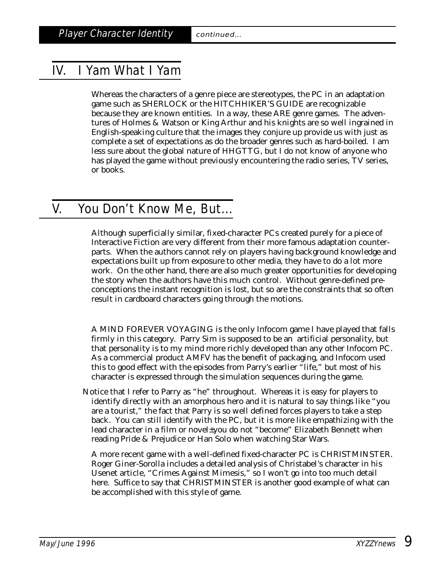## IV. I Yam What I Yam

Whereas the characters of a genre piece are stereotypes, the PC in an adaptation game such as SHERLOCK or the HITCHHIKER'S GUIDE are recognizable because they are known entities. In a way, these ARE genre games. The adventures of Holmes & Watson or King Arthur and his knights are so well ingrained in English-speaking culture that the images they conjure up provide us with just as complete a set of expectations as do the broader genres such as hard-boiled. I am less sure about the global nature of HHGTTG, but I do not know of anyone who has played the game without previously encountering the radio series, TV series, or books.

## V. You Don't Know Me, But...

Although superficially similar, fixed-character PCs created purely for a piece of Interactive Fiction are very different from their more famous adaptation counterparts. When the authors cannot rely on players having background knowledge and expectations built up from exposure to other media, they have to do a lot more work. On the other hand, there are also much greater opportunities for developing the story when the authors have this much control. Without genre-defined preconceptions the instant recognition is lost, but so are the constraints that so often result in cardboard characters going through the motions.

A MIND FOREVER VOYAGING is the only Infocom game I have played that falls firmly in this category. Parry Sim is supposed to be an artificial personality, but that personality is to my mind more richly developed than any other Infocom PC. As a commercial product AMFV has the benefit of packaging, and Infocom used this to good effect with the episodes from Parry's earlier "life," but most of his character is expressed through the simulation sequences during the game.

Notice that I refer to Parry as "he" throughout. Whereas it is easy for players to identify directly with an amorphous hero and it is natural to say things like "you are a tourist," the fact that Parry is so well defined forces players to take a step back. You can still identify with the PC, but it is more like empathizing with the lead character in a film or novel±you do not "become" Elizabeth Bennett when reading Pride & Prejudice or Han Solo when watching Star Wars.

A more recent game with a well-defined fixed-character PC is CHRISTMINSTER. Roger Giner-Sorolla includes a detailed analysis of Christabel's character in his Usenet article, "Crimes Against Mimesis," so I won't go into too much detail here. Suffice to say that CHRISTMINSTER is another good example of what can be accomplished with this style of game.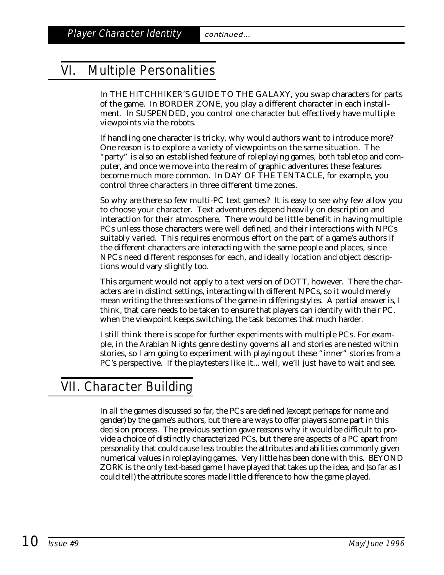## VI. Multiple Personalities

In THE HITCHHIKER'S GUIDE TO THE GALAXY, you swap characters for parts of the game. In BORDER ZONE, you play a different character in each installment. In SUSPENDED, you control one character but effectively have multiple viewpoints via the robots.

If handling one character is tricky, why would authors want to introduce more? One reason is to explore a variety of viewpoints on the same situation. The "party" is also an established feature of roleplaying games, both tabletop and computer, and once we move into the realm of graphic adventures these features become much more common. In DAY OF THE TENTACLE, for example, you control three characters in three different time zones.

So why are there so few multi-PC text games? It is easy to see why few allow you to choose your character. Text adventures depend heavily on description and interaction for their atmosphere. There would be little benefit in having multiple PCs unless those characters were well defined, and their interactions with NPCs suitably varied. This requires enormous effort on the part of a game's authors if the different characters are interacting with the same people and places, since NPCs need different responses for each, and ideally location and object descriptions would vary slightly too.

This argument would not apply to a text version of DOTT, however. There the characters are in distinct settings, interacting with different NPCs, so it would merely mean writing the three sections of the game in differing styles. A partial answer is, I think, that care needs to be taken to ensure that players can identify with their PC. when the viewpoint keeps switching, the task becomes that much harder.

I still think there is scope for further experiments with multiple PCs. For example, in the Arabian Nights genre destiny governs all and stories are nested within stories, so I am going to experiment with playing out these "inner" stories from a PC's perspective. If the playtesters like it... well, we'll just have to wait and see.

## VII. Character Building

In all the games discussed so far, the PCs are defined (except perhaps for name and gender) by the game's authors, but there are ways to offer players some part in this decision process. The previous section gave reasons why it would be difficult to provide a choice of distinctly characterized PCs, but there are aspects of a PC apart from personality that could cause less trouble: the attributes and abilities commonly given numerical values in roleplaying games. Very little has been done with this. BEYOND ZORK is the only text-based game I have played that takes up the idea, and (so far as I could tell) the attribute scores made little difference to how the game played.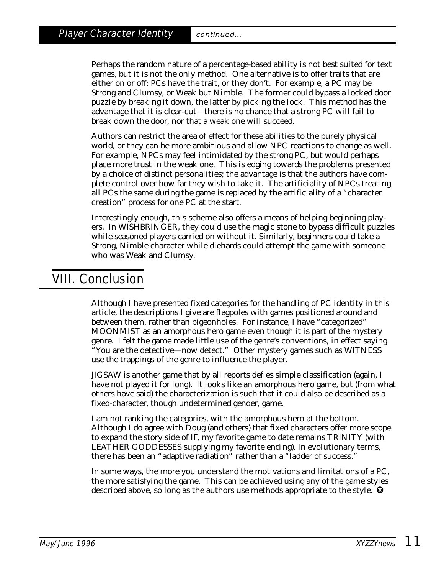Perhaps the random nature of a percentage-based ability is not best suited for text games, but it is not the only method. One alternative is to offer traits that are either on or off: PCs have the trait, or they don't. For example, a PC may be Strong and Clumsy, or Weak but Nimble. The former could bypass a locked door puzzle by breaking it down, the latter by picking the lock. This method has the advantage that it is clear-cut—there is no chance that a strong PC will fail to break down the door, nor that a weak one will succeed.

Authors can restrict the area of effect for these abilities to the purely physical world, or they can be more ambitious and allow NPC reactions to change as well. For example, NPCs may feel intimidated by the strong PC, but would perhaps place more trust in the weak one. This is edging towards the problems presented by a choice of distinct personalities; the advantage is that the authors have complete control over how far they wish to take it. The artificiality of NPCs treating all PCs the same during the game is replaced by the artificiality of a "character creation" process for one PC at the start.

Interestingly enough, this scheme also offers a means of helping beginning players. In WISHBRINGER, they could use the magic stone to bypass difficult puzzles while seasoned players carried on without it. Similarly, beginners could take a Strong, Nimble character while diehards could attempt the game with someone who was Weak and Clumsy.

## VIII. Conclusion

Although I have presented fixed categories for the handling of PC identity in this article, the descriptions I give are flagpoles with games positioned around and between them, rather than pigeonholes. For instance, I have "categorized" MOONMIST as an amorphous hero game even though it is part of the mystery genre. I felt the game made little use of the genre's conventions, in effect saying "You are the detective—now detect." Other mystery games such as WITNESS use the trappings of the genre to influence the player.

JIGSAW is another game that by all reports defies simple classification (again, I have not played it for long). It looks like an amorphous hero game, but (from what others have said) the characterization is such that it could also be described as a fixed-character, though undetermined gender, game.

I am not ranking the categories, with the amorphous hero at the bottom. Although I do agree with Doug (and others) that fixed characters offer more scope to expand the story side of IF, my favorite game to date remains TRINITY (with LEATHER GODDESSES supplying my favorite ending). In evolutionary terms, there has been an "adaptive radiation" rather than a "ladder of success."

In some ways, the more you understand the motivations and limitations of a PC, the more satisfying the game. This can be achieved using any of the game styles described above, so long as the authors use methods appropriate to the style.  $\bullet$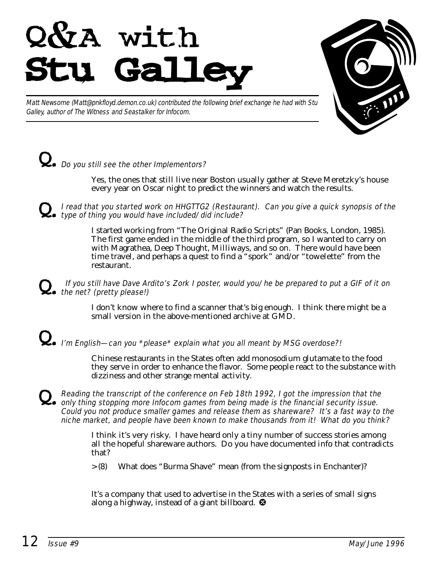



Matt Newsome (Matt@pnkfloyd.demon.co.uk) contributed the following brief exchange he had with Stu Galley, author of The Witness and Seastalker for Infocom.

## $\Omega_{\bullet}$  Do you still see the other Implementors?

Yes, the ones that still live near Boston usually gather at Steve Meretzky's house every year on Oscar night to predict the winners and watch the results.

Q. I read that you started work on HHGTTG2 (Restaurant). Can you give a quick synopsis of the type of thing you would have included/did include?

I started working from "The Original Radio Scripts" (Pan Books, London, 1985). The first game ended in the middle of the third program, so I wanted to carry on with Magrathea, Deep Thought, Milliways, and so on. There would have been time travel, and perhaps a quest to find a "spork" and/or "towelette" from the restaurant.

#### If you still have Dave Ardito's Zork I poster, would you/he be prepared to put a GIF of it on  $\sum$  the net? (pretty please!)

I don't know where to find a scanner that's big enough. I think there might be a small version in the above-mentioned archive at GMD.

## $\sum_{\bullet}$  I'm English—can you \*please\* explain what you all meant by MSG overdose?!

Chinese restaurants in the States often add monosodium glutamate to the food they serve in order to enhance the flavor. Some people react to the substance with dizziness and other strange mental activity.

Reading the transcript of the conference on Feb 18th 1992, I got the impression that the<br>only thing stopping more Infocom games from being made is the financial security issue. Could you not produce smaller games and release them as shareware? It's a fast way to the niche market, and people have been known to make thousands from it! What do you think?

> I think it's very risky. I have heard only a tiny number of success stories among all the hopeful shareware authors. Do you have documented info that contradicts that?

> (8) What does "Burma Shave" mean (from the signposts in Enchanter)?

It's a company that used to advertise in the States with a series of small signs along a highway, instead of a giant billboard. <sup>3</sup>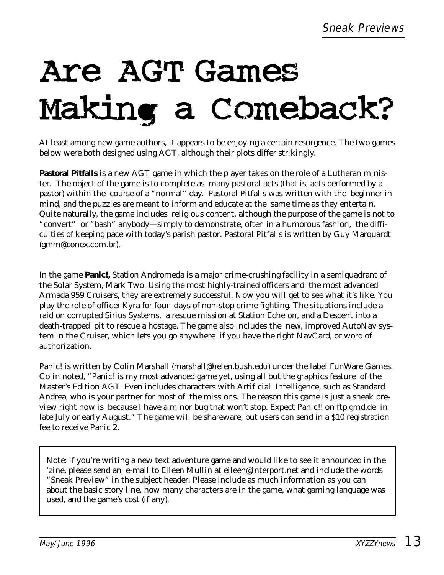## Are AGT Games Making a Comeback?

At least among new game authors, it appears to be enjoying a certain resurgence. The two games below were both designed using AGT, although their plots differ strikingly.

**Pastoral Pitfalls** is a new AGT game in which the player takes on the role of a Lutheran minister. The object of the game is to complete as many pastoral acts (that is, acts performed by a pastor) within the course of a "normal" day. Pastoral Pitfalls was written with the beginner in mind, and the puzzles are meant to inform and educate at the same time as they entertain. Quite naturally, the game includes religious content, although the purpose of the game is not to "convert" or "bash" anybody—simply to demonstrate, often in a humorous fashion, the difficulties of keeping pace with today's parish pastor. Pastoral Pitfalls is written by Guy Marquardt (gmm@conex.com.br).

In the game **Panic!,** Station Andromeda is a major crime-crushing facility in a semiquadrant of the Solar System, Mark Two. Using the most highly-trained officers and the most advanced Armada 959 Cruisers, they are extremely successful. Now you will get to see what it's like. You play the role of officer Kyra for four days of non-stop crime fighting. The situations include a raid on corrupted Sirius Systems, a rescue mission at Station Echelon, and a Descent into a death-trapped pit to rescue a hostage. The game also includes the new, improved AutoNav system in the Cruiser, which lets you go anywhere if you have the right NavCard, or word of authorization.

Panic! is written by Colin Marshall (marshall@helen.bush.edu) under the label FunWare Games. Colin noted, "Panic! is my most advanced game yet, using all but the graphics feature of the Master's Edition AGT. Even includes characters with Artificial Intelligence, such as Standard Andrea, who is your partner for most of the missions. The reason this game is just a sneak preview right now is because I have a minor bug that won't stop. Expect Panic!! on ftp.gmd.de in late July or early August." The game will be shareware, but users can send in a \$10 registration fee to receive Panic 2.

*Note:* If you're writing a new text adventure game and would like to see it announced in the 'zine, please send an e-mail to Eileen Mullin at eileen@interport.net and include the words "Sneak Preview" in the subject header. Please include as much information as you can about the basic story line, how many characters are in the game, what gaming language was used, and the game's cost (if any).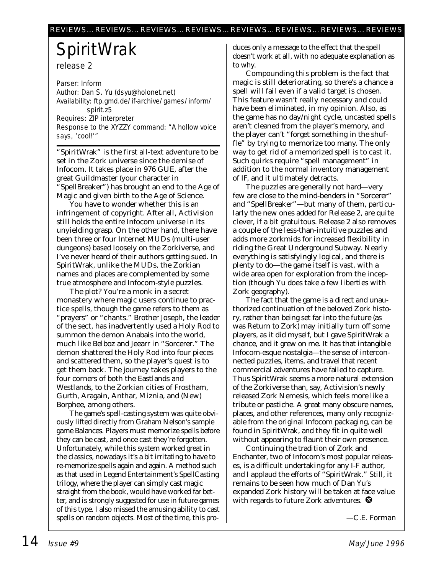## **SpiritWrak** release 2

Parser: Inform Author: Dan S. Yu (dsyu@holonet.net) Availability: ftp.gmd.de/if-archive/games/inform/ spirit.z5 Requires: ZIP interpreter Response to the XYZZY command: "A hollow voice says, 'cool!'"

"SpiritWrak" is the first all-text adventure to be set in the Zork universe since the demise of Infocom. It takes place in 976 GUE, after the great Guildmaster (your character in "SpellBreaker") has brought an end to the Age of Magic and given birth to the Age of Science.

You have to wonder whether this is an infringement of copyright. After all, Activision still holds the entire Infocom universe in its unyielding grasp. On the other hand, there have been three or four Internet MUDs (multi-user dungeons) based loosely on the Zorkiverse, and I've never heard of their authors getting sued. In SpiritWrak, unlike the MUDs, the Zorkian names and places are complemented by some true atmosphere and Infocom-style puzzles.

The plot? You're a monk in a secret monastery where magic users continue to practice spells, though the game refers to them as "prayers" or "chants." Brother Joseph, the leader of the sect, has inadvertently used a Holy Rod to summon the demon Anabais into the world, much like Belboz and Jeearr in "Sorcerer." The demon shattered the Holy Rod into four pieces and scattered them, so the player's quest is to get them back. The journey takes players to the four corners of both the Eastlands and Westlands, to the Zorkian cities of Frostham, Gurth, Aragain, Anthar, Miznia, and (New) Borphee, among others.

The game's spell-casting system was quite obviously lifted directly from Graham Nelson's sample game Balances. Players must memorize spells before they can be cast, and once cast they're forgotten. Unfortunately, while this system worked great in the classics, nowadays it's a bit irritating to have to re-memorize spells again and again. A method such as that used in Legend Entertainment's SpellCasting trilogy, where the player can simply cast magic straight from the book, would have worked far better, and is strongly suggested for use in future games of this type. I also missed the amusing ability to cast spells on random objects. Most of the time, this produces only a message to the effect that the spell doesn't work at all, with no adequate explanation as to why.

Compounding this problem is the fact that magic is still deteriorating, so there's a chance a spell will fail even if a valid target is chosen. This feature wasn't really necessary and could have been eliminated, in my opinion. Also, as the game has no day/night cycle, uncasted spells aren't cleaned from the player's memory, and the player can't "forget something in the shuffle" by trying to memorize too many. The only way to get rid of a memorized spell is to cast it. Such quirks require "spell management" in addition to the normal inventory management of IF, and it ultimately detracts.

The puzzles are generally not hard—very few are close to the mind-benders in "Sorcerer" and "SpellBreaker"—but many of them, particularly the new ones added for Release 2, are quite clever, if a bit gratuitous. Release 2 also removes a couple of the less-than-intuitive puzzles and adds more zorkmids for increased flexibility in riding the Great Underground Subway. Nearly everything is satisfyingly logical, and there is plenty to do—the game itself is vast, with a wide area open for exploration from the inception (though Yu does take a few liberties with Zork geography).

The fact that the game is a direct and unauthorized continuation of the beloved Zork history, rather than being set far into the future (as was Return to Zork) may initially turn off some players, as it did myself, but I gave SpiritWrak a chance, and it grew on me. It has that intangible Infocom-esque nostalgia—the sense of interconnected puzzles, items, and travel that recent commercial adventures have failed to capture. Thus SpiritWrak seems a more natural extension of the Zorkiverse than, say, Activision's newly released Zork Nemesis, which feels more like a tribute or pastiche. A great many obscure names, places, and other references, many only recognizable from the original Infocom packaging, can be found in SpiritWrak, and they fit in quite well without appearing to flaunt their own presence.

Continuing the tradition of Zork and Enchanter, two of Infocom's most popular releases, is a difficult undertaking for any I-F author, and I applaud the efforts of "SpiritWrak." Still, it remains to be seen how much of Dan Yu's expanded Zork history will be taken at face value with regards to future Zork adventures.  $\bullet$ 

*—C.E. Forman*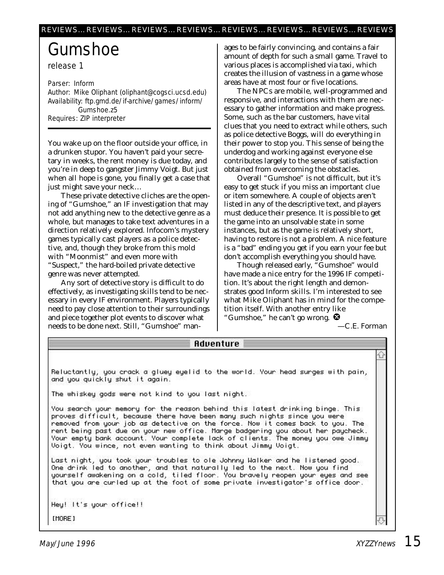## Gumshoe

release 1

Parser: Inform Author: Mike Oliphant (oliphant@cogsci.ucsd.edu) Availability: ftp.gmd.de/if-archive/games/inform/ Gumshoe.z5 Requires: ZIP interpreter

You wake up on the floor outside your office, in a drunken stupor. You haven't paid your secretary in weeks, the rent money is due today, and you're in deep to gangster Jimmy Voigt. But just when all hope is gone, you finally get a case that just might save your neck…

These private detective cliches are the opening of "Gumshoe," an IF investigation that may not add anything new to the detective genre as a whole, but manages to take text adventures in a direction relatively explored. Infocom's mystery games typically cast players as a police detective, and, though they broke from this mold with "Moonmist" and even more with "Suspect," the hard-boiled private detective genre was never attempted.

Any sort of detective story is difficult to do effectively, as investigating skills tend to be necessary in every IF environment. Players typically need to pay close attention to their surroundings and piece together plot events to discover what needs to be done next. Still, "Gumshoe" man-

ages to be fairly convincing, and contains a fair amount of depth for such a small game. Travel to various places is accomplished via taxi, which creates the illusion of vastness in a game whose areas have at most four or five locations.

The NPCs are mobile, well-programmed and responsive, and interactions with them are necessary to gather information and make progress. Some, such as the bar customers, have vital clues that you need to extract while others, such as police detective Boggs, will do everything in their power to stop you. This sense of being the underdog and working against everyone else contributes largely to the sense of satisfaction obtained from overcoming the obstacles.

Overall "Gumshoe" is not difficult, but it's easy to get stuck if you miss an important clue or item somewhere. A couple of objects aren't listed in any of the descriptive text, and players must deduce their presence. It is possible to get the game into an unsolvable state in some instances, but as the game is relatively short, having to restore is not a problem. A nice feature is a "bad" ending you get if you earn your fee but don't accomplish everything you should have.

Though released early, "Gumshoe" would have made a nice entry for the 1996 IF competition. It's about the right length and demonstrates good Inform skills. I'm interested to see what Mike Oliphant has in mind for the competition itself. With another entry like "Gumshoe," he can't go wrong.

*—C.E. Forman*